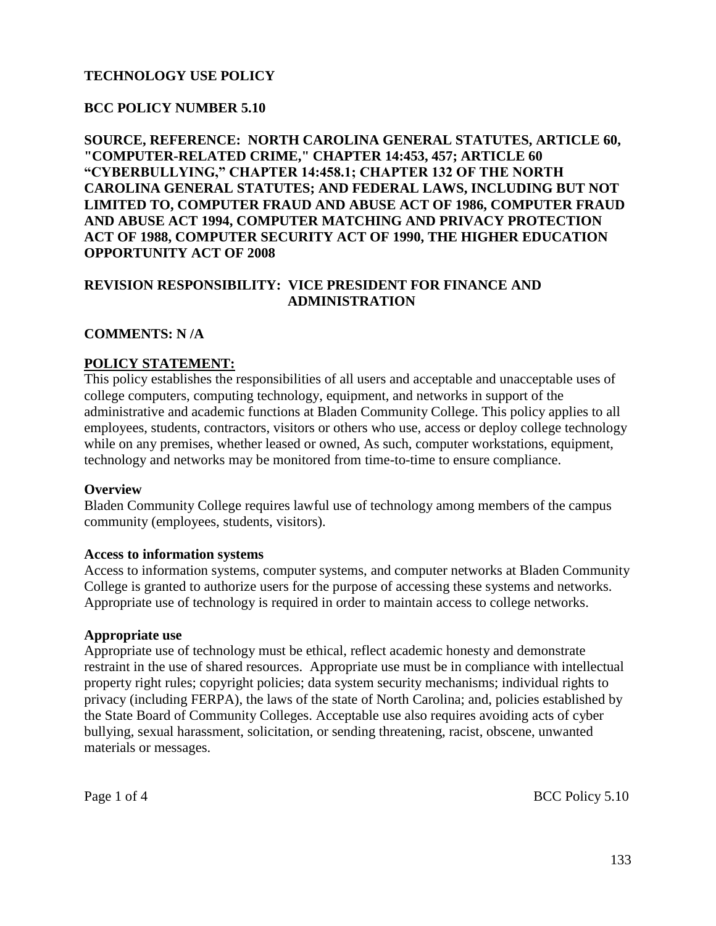### **TECHNOLOGY USE POLICY**

### **BCC POLICY NUMBER 5.10**

**SOURCE, REFERENCE: NORTH CAROLINA GENERAL STATUTES, ARTICLE 60, "COMPUTER-RELATED CRIME," CHAPTER 14:453, 457; ARTICLE 60 "CYBERBULLYING," CHAPTER 14:458.1; CHAPTER 132 OF THE NORTH CAROLINA GENERAL STATUTES; AND FEDERAL LAWS, INCLUDING BUT NOT LIMITED TO, COMPUTER FRAUD AND ABUSE ACT OF 1986, COMPUTER FRAUD AND ABUSE ACT 1994, COMPUTER MATCHING AND PRIVACY PROTECTION ACT OF 1988, COMPUTER SECURITY ACT OF 1990, THE HIGHER EDUCATION OPPORTUNITY ACT OF 2008**

### **REVISION RESPONSIBILITY: VICE PRESIDENT FOR FINANCE AND ADMINISTRATION**

#### **COMMENTS: N /A**

#### **POLICY STATEMENT:**

This policy establishes the responsibilities of all users and acceptable and unacceptable uses of college computers, computing technology, equipment, and networks in support of the administrative and academic functions at Bladen Community College. This policy applies to all employees, students, contractors, visitors or others who use, access or deploy college technology while on any premises, whether leased or owned, As such, computer workstations, equipment, technology and networks may be monitored from time-to-time to ensure compliance.

#### **Overview**

Bladen Community College requires lawful use of technology among members of the campus community (employees, students, visitors).

#### **Access to information systems**

Access to information systems, computer systems, and computer networks at Bladen Community College is granted to authorize users for the purpose of accessing these systems and networks. Appropriate use of technology is required in order to maintain access to college networks.

#### **Appropriate use**

Appropriate use of technology must be ethical, reflect academic honesty and demonstrate restraint in the use of shared resources. Appropriate use must be in compliance with intellectual property right rules; copyright policies; data system security mechanisms; individual rights to privacy (including FERPA), the laws of the state of North Carolina; and, policies established by the State Board of Community Colleges. Acceptable use also requires avoiding acts of cyber bullying, sexual harassment, solicitation, or sending threatening, racist, obscene, unwanted materials or messages.

Page 1 of 4 BCC Policy 5.10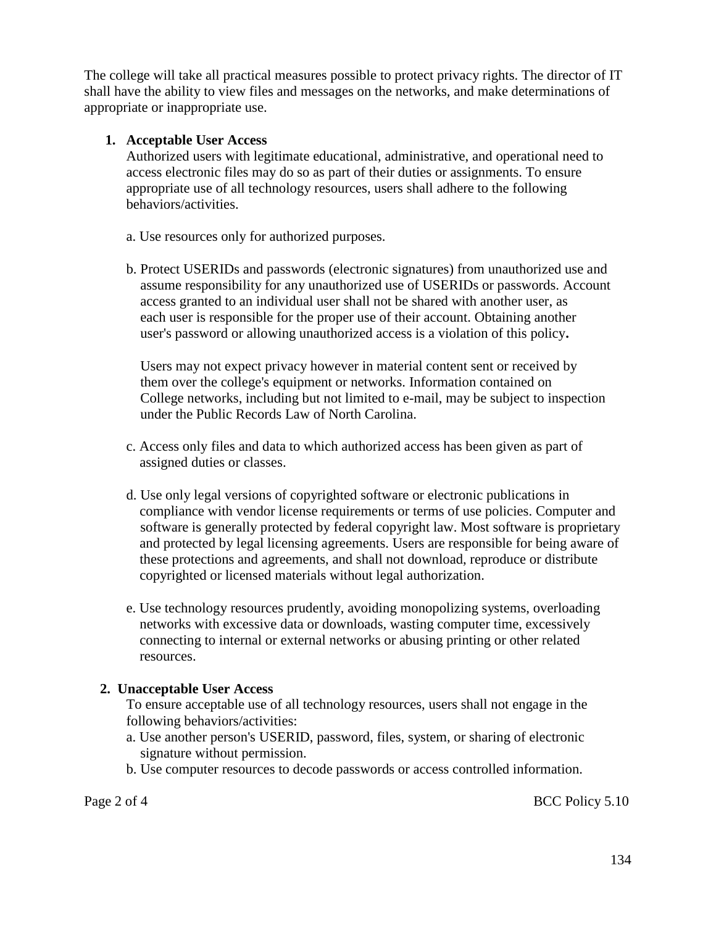The college will take all practical measures possible to protect privacy rights. The director of IT shall have the ability to view files and messages on the networks, and make determinations of appropriate or inappropriate use.

# **1. Acceptable User Access**

Authorized users with legitimate educational, administrative, and operational need to access electronic files may do so as part of their duties or assignments. To ensure appropriate use of all technology resources, users shall adhere to the following behaviors/activities.

- a. Use resources only for authorized purposes.
- b. Protect USERIDs and passwords (electronic signatures) from unauthorized use and assume responsibility for any unauthorized use of USERIDs or passwords. Account access granted to an individual user shall not be shared with another user, as each user is responsible for the proper use of their account. Obtaining another user's password or allowing unauthorized access is a violation of this policy**.**

 Users may not expect privacy however in material content sent or received by them over the college's equipment or networks. Information contained on College networks, including but not limited to e-mail, may be subject to inspection under the Public Records Law of North Carolina.

- c. Access only files and data to which authorized access has been given as part of assigned duties or classes.
- d. Use only legal versions of copyrighted software or electronic publications in compliance with vendor license requirements or terms of use policies. Computer and software is generally protected by federal copyright law. Most software is proprietary and protected by legal licensing agreements. Users are responsible for being aware of these protections and agreements, and shall not download, reproduce or distribute copyrighted or licensed materials without legal authorization.
- e. Use technology resources prudently, avoiding monopolizing systems, overloading networks with excessive data or downloads, wasting computer time, excessively connecting to internal or external networks or abusing printing or other related resources.

# **2. Unacceptable User Access**

To ensure acceptable use of all technology resources, users shall not engage in the following behaviors/activities:

- a. Use another person's USERID, password, files, system, or sharing of electronic signature without permission.
- b. Use computer resources to decode passwords or access controlled information.

Page 2 of 4 BCC Policy 5.10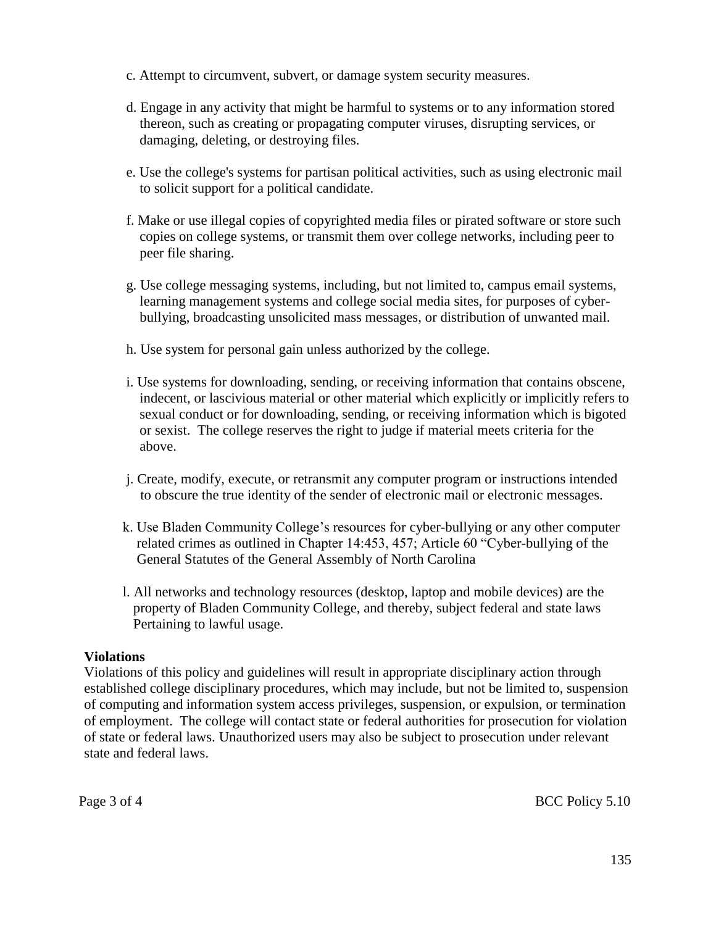- c. Attempt to circumvent, subvert, or damage system security measures.
- d. Engage in any activity that might be harmful to systems or to any information stored thereon, such as creating or propagating computer viruses, disrupting services, or damaging, deleting, or destroying files.
- e. Use the college's systems for partisan political activities, such as using electronic mail to solicit support for a political candidate.
- f. Make or use illegal copies of copyrighted media files or pirated software or store such copies on college systems, or transmit them over college networks, including peer to peer file sharing.
- g. Use college messaging systems, including, but not limited to, campus email systems, learning management systems and college social media sites, for purposes of cyberbullying, broadcasting unsolicited mass messages, or distribution of unwanted mail.
- h. Use system for personal gain unless authorized by the college.
- i. Use systems for downloading, sending, or receiving information that contains obscene, indecent, or lascivious material or other material which explicitly or implicitly refers to sexual conduct or for downloading, sending, or receiving information which is bigoted or sexist. The college reserves the right to judge if material meets criteria for the above.
- j. Create, modify, execute, or retransmit any computer program or instructions intended to obscure the true identity of the sender of electronic mail or electronic messages.
- k. Use Bladen Community College's resources for cyber-bullying or any other computer related crimes as outlined in Chapter 14:453, 457; Article 60 "Cyber-bullying of the General Statutes of the General Assembly of North Carolina
- l. All networks and technology resources (desktop, laptop and mobile devices) are the property of Bladen Community College, and thereby, subject federal and state laws Pertaining to lawful usage.

# **Violations**

Violations of this policy and guidelines will result in appropriate disciplinary action through established college disciplinary procedures, which may include, but not be limited to, suspension of computing and information system access privileges, suspension, or expulsion, or termination of employment. The college will contact state or federal authorities for prosecution for violation of state or federal laws. Unauthorized users may also be subject to prosecution under relevant state and federal laws.

Page 3 of 4 BCC Policy 5.10